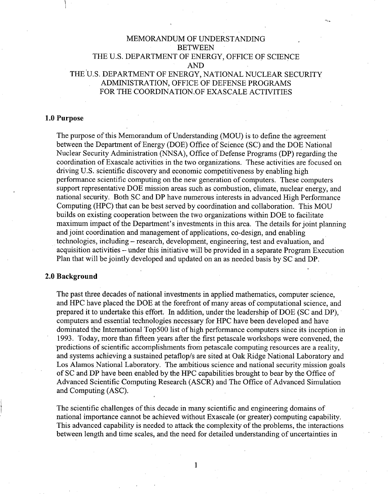# MEMORANDUM OF UNDERSTANDING **BETWEEN** THE U.S. DEPARTMENT OF ENERGY, OFFICE OF SCIENCE AND THE 'U.S. DEPARTMENT OF ENERGY, NATIONAL NUCLEAR SECURITY ADMINISTRATION, OFFICE OF DEFENSE PROGRAMS FOR THE COORDINATION OF EXASCALE ACTIVITIES

## 1.0 Purpose

The purpose of this Memorandum of Understanding (MOU) is to define the agreement between the Department of Energy (DOE) Office of Science (SC) and the DOE National Nuclear Security Administration (NNSA), Office of Defense Programs (DP) regarding the coordination of Exascale activities in the two organizations. These activities are focused on driving U.S. scientific discovery and economic competitiveness by enabling high performance scientific computing on the new generation of computers. These computers support representative DOE mission areas such as combustion, climate, nuclear energy, and national security. Both SC and DP have numerous interests in advanced High Performance Computing (HPC) that can be best served by coordination and collaboration. This MOU builds on existing cooperation between the two organizations within DOE to facilitate maximum impact of the Department's investments in this area. The details for joint planning and ioint coordination and management of applications, co-design, and enabling technologies, including – research, development, engineering, test and evaluation, and acquisition activities – under this initiative will be provided in a separate Program Execution Plan that will be jointly developed and updated on an as needed basis by SC and DP.

## 2.0 Background

The past three decades of national investments in applied mathematics, computer science, and HPC have placed the DOE at the forefront of many areas of computational science, and prepared it to undertake this effort. In addition, under the leadership of DOE (SC and DP), computers and essential technologies necessary for HPC have been developed and have dominated the International Top500 list of high performance computers since its inception in 1993. Today, more than fifteen years after the first petascale workshops were convened, the predictions of scientific accomplishments from petascale computing resources are a reality, and systems achieving a sustained petaflop/s are sited at Oak Ridge National Laboratory and Los Alamos National Laboratory. The ambitious science and national security mission goals of SC and DP have been enabled by the HPC capabilities brought to bear by the Office of Advanced Scientific Computing Research (ASCR) and The Office of Advanced Simulation and Computing (ASC).

The scientific challenges of this decade in many scientific and engineering domains of national importance cannot be achieved without Exasca1e (or greater) computing capability. This advanced capability is needed to attack the complexity of the problems, the interactions between length and time scales, and the need for detailed understanding of uncertainties in

1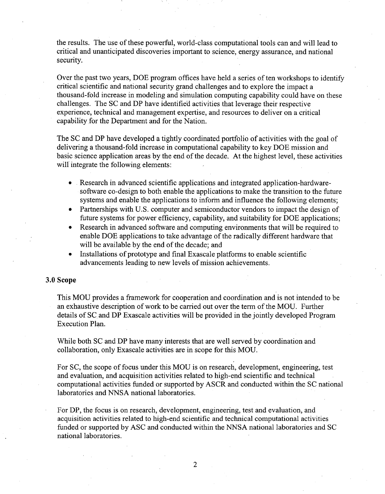the results. The use of these powerful, world-class computational tools can and will lead to critical and unanticipated discoveries important to science, energy assurance, and national security.

Over the past two years, DOE program offices have held a series of ten workshops to identify critical scientific and national security grand challenges and to explore the impact a thousand-fold increase in modeling and simulation computing capability could have on these challenges. The SC and DP have identified activities that leverage their respective experience, technical and management expertise, and resources to deliver on a critical capability for the Department and for the Nation.

The SC and DP have developed a tightly coordinated portfolio of activities with the goal of delivering a thousand-fold increase in computational capability to key DOE mission and basic science application areas by the end of the decade. At the highest level, these activities will integrate the following elements:

- Research in advanced scientific applications and integrated application-hardwaresoftware co-design to both enable the applications to make the transition to the future systems and enable the applications to inform and influence the following elements;
- Partnerships with U.S. computer and semiconductor vendors to impact the design of future systems for power efficiency, capability, and suitability for DOE applications;
- Research in advanced software and computing environments that will be required to enable DOE applications to take advantage of the radically different hardware that will be available by the end of the decade; and
- Installations of prototype and final Exascale platforms to enable scientific advancements leading to new levels of mission achievements.

#### **3.0 Scope**

This MOU provides a framework for cooperation and coordination and is not intended to be an exhaustive description of work to be carried out over the term of the MOU. Further details of SC and DP Exascale activities will be provided in the jointly developed Program Execution Plan.

While both SC and DP have many interests that are well served by coordination and collaboration, only Exascale activities are in scope for this MOD.

For SC, the scope of focus under this MOU is on research, development, engineering, test and evaluation, and acquisition activities related to high-end scientific and technical computational activities funded or supported by ASCR and conducted within the SC national laboratories and NNSA national laboratories.

For DP, the focus is on research, development, engineering, test and evaluation, and acquisition activities related to high-end scientific and technical computational activities funded or supported by ASC and conducted within the NNSA national laboratories and SC national laboratories.

2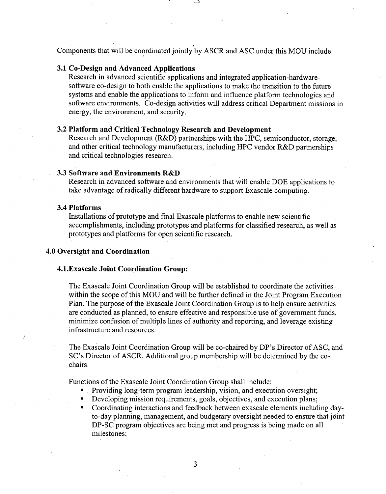Components that will be coordinated jointly by ASCR and ASC under this MOU include

## **3.1 Co-Design and Advanced Applications**

Research in advanced scientific applications and integrated application-hardwaresoftware co-design to both enable the applications to make the transition to the future systems and enable the applications to inform and influence platform technologies and software environments. Co.design activities will address critical Department missions in energy, the environment, and security.

## **3.2 Platform and Critical Technology Research and Development**

Research and Development (R&D) partnerships with the HPC, semiconductor, storage, and other critical technology manufacturers, including HPC vendor R&D partnerships and critical technologies research.

## **3.3 Software and Environments R&D**

Research in advanced software and environments that will enable DOE applications to take advantage of radically different hardware to support Exascale computing.

## **3.4 Platforms**

Installations of prototype and final Exascale platforms to enable new scientific accomplishments, including prototypes and platforms for classified research, as well as prototypes and platforms for open scientific research.

## **4.0 Oversight and Coordination**

#### **4.l.Exascale Joint Coordination Group:**

The Exascale Joint Coordination Group will be established to coordinate the activities, within the scope of this MOU and will be further defined in the Joint Program Execution Plan. The purpose of the Exascale Joint Coordination Group is to help ensure activities are conducted as planned, to ensure effective and responsible use of government funds, minimize confusion of multiple lines of authority and reporting, and leverage existing infrastructure and resources.

The Exascale Joint Coordination Group will be co-chaired by DP's Director of ASC, and SC's Director of ASCR. Additional group membership will be determined by the cochairs.

Functions of the Exascale Joint Coordination Group shall include:

- Providing long-term program leadership, vision, and execution oversight;
- Developing mission requirements, goals, objectives, and execution plans;
- Coordinating interactions and feedback between exascale elements including dayto-day planning, management, and budgetary oversight needed to ensure that joint DP-SC program objectives are being met and progress is being made on all milestones;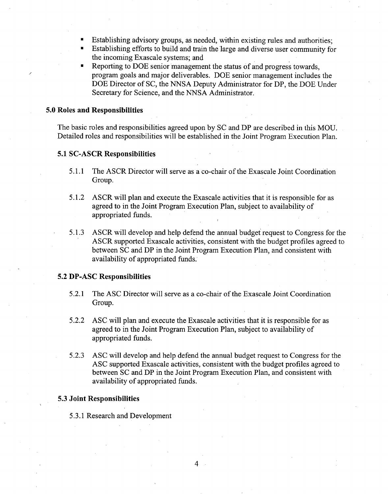- Establishing advisory groups, as needed, within existing rules and authorities;
- Establishing efforts to build and train the large and diverse user community for the incoming Exascale systems; and .
- Reporting to DOE senior management the status of and progress towards, program goals and major deliverables. DOE senior management includes the DOE Director of SC, the NNSA Deputy Administrator for DP, the DOE Under Secretary for Science, and the NNSA Administrator.

#### 5.0 Roles and Responsibilities

./

The basic roles and responsibilities agreed upon by SC and DP are described in this MOD. Detailed roles and responsibilities will be established in the Joint Program Execution Plan.

### 5.1 SC-ASCR Responsibilities

- 5.1.1 The ASCR Director will serve as a co-chair of the Exascale Joint Coordination Group.
- 5.1.2 ASCR will plan and execute the Exascale activities that it is responsible for as agreed to in the Joint Program Execution Plan, subject to availability of appropriated funds.
- 5.1.3 ASCR will develop and help defend the annual budget' request to Congress for the ASCR supported Exascale activities, consistent with the budget profiles agreed to between SC and DP in the Joint Program Execution Plan, and consistent with availability of appropriated funds.

## 5.2 DP-ASC Responsibilities

- 5.2.1 The ASC Director will serve as a co-chair of the Exascale Joint Coordination Group.
- 5.2.2 ASC will plan and execute the Exascale activities that it is responsible for as agreed to in the Joint Program Execution Plan, subject to availability of appropriated funds.
- 5.2.3 ASC will develop and help defend the annual budget request to Congress for the ASC supported Exascale activities, consistent with the budget profiles agreed to between SC and DP in the Joint Program Execution Plan, and consistent with availability of appropriated funds.

#### 5.3 Joint Responsibilities

5.3.1 Research and Development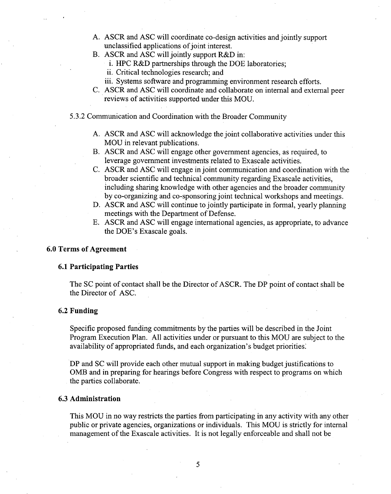- A. ASCR and ASC will coordinate co-design activities and jointly support unclassified applications of joint interest.
- B. ASCR and ASC will jointly support R&D in:
	- i. HPC R&D partnerships through the DOE laboratories;
	- ii. Critical technologies research; and
	- iii. Systems software and programming environment research efforts.
- C. ASCR and ASC will coordinate and collaborate on internal and external peer .reviews of activities supported under this MOD.
- 5.3.2 Communication and Coordination with the Broader Community
	- A. ASCR and ASC will acknowledge the joint collaborative activities under this MOU in relevant publications.
	- B. ASCR and ASC will engage other government agencies, as required, to leverage government investments related to Exascale activities.
	- C. ASCR and ASC will engage in joint communication and coordination with the broader scientific and technical community regarding Exascale activities, including sharing knowledge with other agencies and the broader community by co-organizing and co-sponsoring joint technical workshops and meetings.
	- D. ASCR and ASC will continue to jointly participate in formal, yearly planning meetings with the Department of Defense.
	- E. ASCR and ASC will engage international agencies, as appropriate, to advance the DOE's Exascale goals.

## 6.0 Terms of Agreement

## 6.1 Participating Parties

The SC point of contact shall be the Director of ASCR. The DP point of contact shall be the Director of ASC.

## 6.2 Funding

Specific proposed funding commitments by the parties will be described in the Joint Program Execution Plan. All activities under or pursuant to this MOD are subject to the availability of appropriated funds, and each organization's budget priorities:

DP and SC will provide each other mutual support in making budget justifications to OMB and in preparing for hearings before Congress with respect to programs on which the parties collaborate.

## 6.3 Administration

This MOD in no way restricts the parties from participating in any activity with any other public or private agencies, organizations or individuals. This MOD is strictly for internal management of the Exascale activities. It is not legally enforceable and shall not be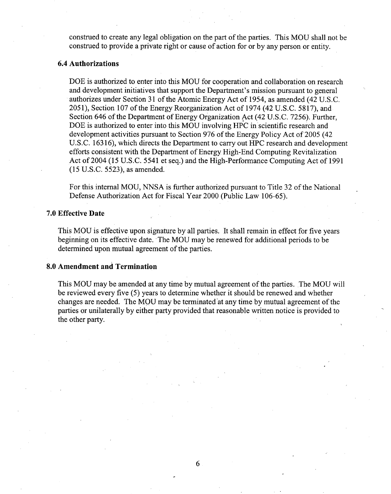construed to create any legal obligation on the part of the parties. This MOU shall not be construed to provide a private right or cause of action for or by any person or entity.

## **6.4 Authorizations**

DOE is authorized to enter into this MOU for cooperation and collaboration on research and development initiatives that support the Department's mission pursuant to general authorizes under Section 31 of the Atomic Energy Act of 1954, as amended (42 U.S.C. 2051), Section 107 ofthe EnergyReorganization Act of 1974 (42 U.S.C. 5817), and Section 646 of the Department of Energy Organization Act (42 U.S.C. 7256). Further, DOE is authorized to enter into this MOU involving HPC in scientific research and development activities pursuant to Section 976 of the Energy Policy Act of 2005 (42) U.S.C. 16316), which directs the Department to carry out HPC research and development efforts consistent with the Department of Energy High-End Computing Revitalization Act of2004 (15 U.S.C. 5541 et seq.) and the High-Performance Computing Act of 1991 (15 U.S.C. 5523), as amended.

For this internal MOU, NNSA is further authorized pursuant to Title 32 of the National Defense Authorization Act for Fiscal Year 2000 (Public Law 106-65).

#### **7.0 Effective Date**

This MOU is effective upon signature by all parties. It shall remain in effect for five years beginning on its effective date. 'The MOU may be renewed for additional periods to be determined upon mutual agreement of the parties.

## **8.0 Amendment and Termination**

This MOU may be amended at any time by mutual agreement of the parties. The MOU will be reviewed every five (5) years to determine whether it should be renewed and whether changes are needed. The MQU may be terminated 'at any time by mutual agreement of the parties or unilaterally by either party provided that reasonable written notice is provided to the other party.